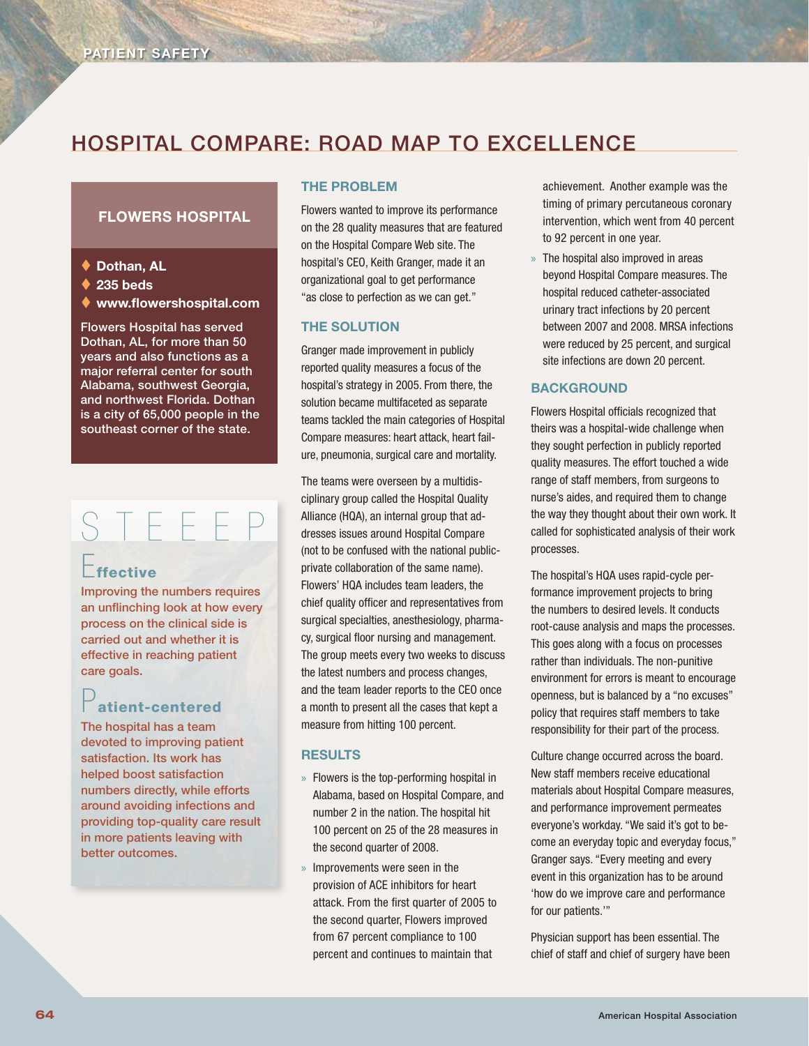## Hospital Compare: Road Map to Excellence

#### Flowers Hospital

- ◆ Dothan, AL
- $\triangle$  235 beds
- www.flowershospital.com

Flowers Hospital has served Dothan, AL, for more than 50 years and also functions as a major referral center for south Alabama, southwest Georgia, and northwest Florida. Dothan is a city of 65,000 people in the southeast corner of the state.

# S T E E E P

## $F_{\text{ffective}}$

Improving the numbers requires an unflinching look at how every process on the clinical side is carried out and whether it is effective in reaching patient care goals.

## atient-centered

The hospital has a team devoted to improving patient satisfaction. Its work has helped boost satisfaction numbers directly, while efforts around avoiding infections and providing top-quality care result in more patients leaving with better outcomes.

#### The Problem

Flowers wanted to improve its performance on the 28 quality measures that are featured on the Hospital Compare Web site. The hospital's CEO, Keith Granger, made it an organizational goal to get performance "as close to perfection as we can get."

#### **THE SOLUTION**

Granger made improvement in publicly reported quality measures a focus of the hospital's strategy in 2005. From there, the solution became multifaceted as separate teams tackled the main categories of Hospital Compare measures: heart attack, heart failure, pneumonia, surgical care and mortality.

The teams were overseen by a multidisciplinary group called the Hospital Quality Alliance (HQA), an internal group that addresses issues around Hospital Compare (not to be confused with the national publicprivate collaboration of the same name). Flowers' HQA includes team leaders, the chief quality officer and representatives from surgical specialties, anesthesiology, pharmacy, surgical floor nursing and management. The group meets every two weeks to discuss the latest numbers and process changes, and the team leader reports to the CEO once a month to present all the cases that kept a measure from hitting 100 percent.

#### **RESULTS**

- » Flowers is the top-performing hospital in Alabama, based on Hospital Compare, and number 2 in the nation. The hospital hit 100 percent on 25 of the 28 measures in the second quarter of 2008.
- » Improvements were seen in the provision of ACE inhibitors for heart attack. From the first quarter of 2005 to the second quarter, Flowers improved from 67 percent compliance to 100 percent and continues to maintain that

achievement. Another example was the timing of primary percutaneous coronary intervention, which went from 40 percent to 92 percent in one year.

» The hospital also improved in areas beyond Hospital Compare measures. The hospital reduced catheter-associated urinary tract infections by 20 percent between 2007 and 2008. MRSA infections were reduced by 25 percent, and surgical site infections are down 20 percent.

#### **BACKGROUND**

Flowers Hospital officials recognized that theirs was a hospital-wide challenge when they sought perfection in publicly reported quality measures. The effort touched a wide range of staff members, from surgeons to nurse's aides, and required them to change the way they thought about their own work. It called for sophisticated analysis of their work processes.

The hospital's HQA uses rapid-cycle performance improvement projects to bring the numbers to desired levels. It conducts root-cause analysis and maps the processes. This goes along with a focus on processes rather than individuals. The non-punitive environment for errors is meant to encourage openness, but is balanced by a "no excuses" policy that requires staff members to take responsibility for their part of the process.

Culture change occurred across the board. New staff members receive educational materials about Hospital Compare measures, and performance improvement permeates everyone's workday. "We said it's got to become an everyday topic and everyday focus," Granger says. "Every meeting and every event in this organization has to be around 'how do we improve care and performance for our patients.'"

Physician support has been essential. The chief of staff and chief of surgery have been